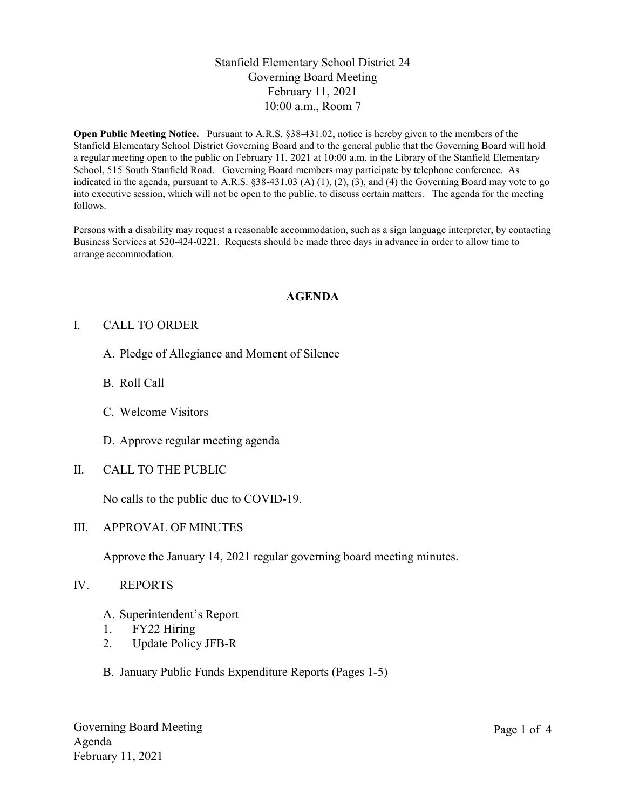# Stanfield Elementary School District 24 Governing Board Meeting February 11, 2021 10:00 a.m., Room 7

Open Public Meeting Notice. Pursuant to A.R.S. §38-431.02, notice is hereby given to the members of the Stanfield Elementary School District Governing Board and to the general public that the Governing Board will hold a regular meeting open to the public on February 11, 2021 at 10:00 a.m. in the Library of the Stanfield Elementary School, 515 South Stanfield Road. Governing Board members may participate by telephone conference. As indicated in the agenda, pursuant to A.R.S.  $\S 38-431.03$  (A) (1), (2), (3), and (4) the Governing Board may vote to go into executive session, which will not be open to the public, to discuss certain matters. The agenda for the meeting follows.

Persons with a disability may request a reasonable accommodation, such as a sign language interpreter, by contacting Business Services at 520-424-0221. Requests should be made three days in advance in order to allow time to arrange accommodation.

### AGENDA

### I. CALL TO ORDER

- A. Pledge of Allegiance and Moment of Silence
- B. Roll Call
- C. Welcome Visitors
- D. Approve regular meeting agenda
- II. CALL TO THE PUBLIC

No calls to the public due to COVID-19.

#### III. APPROVAL OF MINUTES

Approve the January 14, 2021 regular governing board meeting minutes.

- IV. REPORTS
	- A. Superintendent's Report
	- 1. FY22 Hiring
	- 2. Update Policy JFB-R
	- B. January Public Funds Expenditure Reports (Pages 1-5)

Governing Board Meeting Agenda February 11, 2021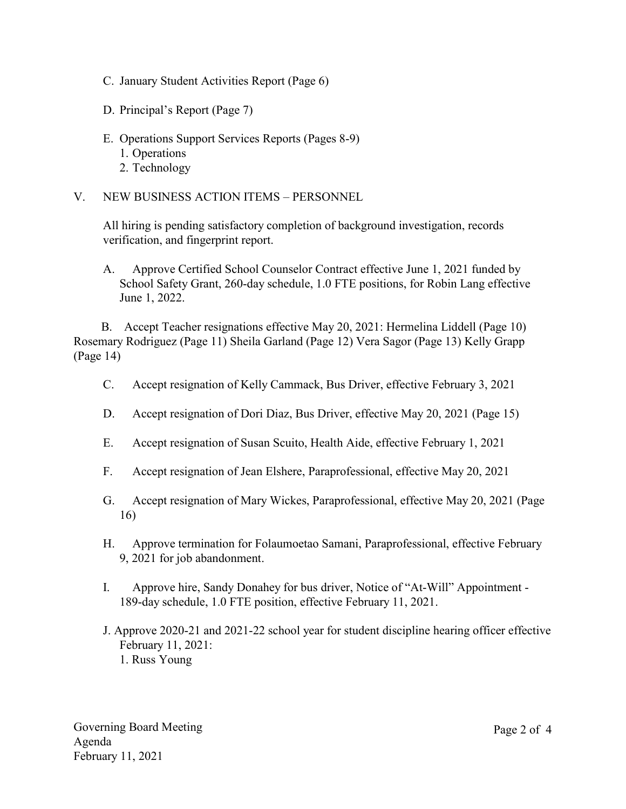- C. January Student Activities Report (Page 6)
- D. Principal's Report (Page 7)
- E. Operations Support Services Reports (Pages 8-9)
	- 1. Operations
	- 2. Technology
- V. NEW BUSINESS ACTION ITEMS PERSONNEL

All hiring is pending satisfactory completion of background investigation, records verification, and fingerprint report.

A. Approve Certified School Counselor Contract effective June 1, 2021 funded by School Safety Grant, 260-day schedule, 1.0 FTE positions, for Robin Lang effective June 1, 2022.

B. Accept Teacher resignations effective May 20, 2021: Hermelina Liddell (Page 10) Rosemary Rodriguez (Page 11) Sheila Garland (Page 12) Vera Sagor (Page 13) Kelly Grapp (Page 14)

- C. Accept resignation of Kelly Cammack, Bus Driver, effective February 3, 2021
- D. Accept resignation of Dori Diaz, Bus Driver, effective May 20, 2021 (Page 15)
- E. Accept resignation of Susan Scuito, Health Aide, effective February 1, 2021
- F. Accept resignation of Jean Elshere, Paraprofessional, effective May 20, 2021
- G. Accept resignation of Mary Wickes, Paraprofessional, effective May 20, 2021 (Page 16)
- H. Approve termination for Folaumoetao Samani, Paraprofessional, effective February 9, 2021 for job abandonment.
- I. Approve hire, Sandy Donahey for bus driver, Notice of "At-Will" Appointment 189-day schedule, 1.0 FTE position, effective February 11, 2021.
- J. Approve 2020-21 and 2021-22 school year for student discipline hearing officer effective February 11, 2021: 1. Russ Young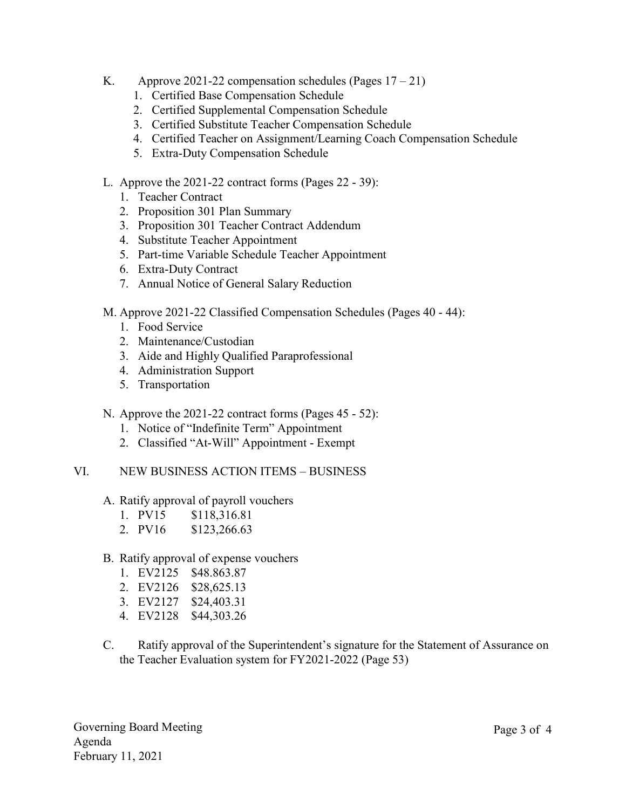- K. Approve 2021-22 compensation schedules (Pages  $17 21$ )
	- 1. Certified Base Compensation Schedule
	- 2. Certified Supplemental Compensation Schedule
	- 3. Certified Substitute Teacher Compensation Schedule
	- 4. Certified Teacher on Assignment/Learning Coach Compensation Schedule
	- 5. Extra-Duty Compensation Schedule
- L. Approve the 2021-22 contract forms (Pages 22 39):
	- 1. Teacher Contract
	- 2. Proposition 301 Plan Summary
	- 3. Proposition 301 Teacher Contract Addendum
	- 4. Substitute Teacher Appointment
	- 5. Part-time Variable Schedule Teacher Appointment
	- 6. Extra-Duty Contract
	- 7. Annual Notice of General Salary Reduction
- M. Approve 2021-22 Classified Compensation Schedules (Pages 40 44):
	- 1. Food Service
	- 2. Maintenance/Custodian
	- 3. Aide and Highly Qualified Paraprofessional
	- 4. Administration Support
	- 5. Transportation
- N. Approve the 2021-22 contract forms (Pages 45 52):
	- 1. Notice of "Indefinite Term" Appointment
	- 2. Classified "At-Will" Appointment Exempt
- VI. NEW BUSINESS ACTION ITEMS BUSINESS
	- A. Ratify approval of payroll vouchers
		- 1. PV15 \$118,316.81
		- 2. PV16 \$123,266.63
	- B. Ratify approval of expense vouchers
		- 1. EV2125 \$48.863.87
		- 2. EV2126 \$28,625.13
		- 3. EV2127 \$24,403.31
		- 4. EV2128 \$44,303.26
	- C. Ratify approval of the Superintendent's signature for the Statement of Assurance on the Teacher Evaluation system for FY2021-2022 (Page 53)